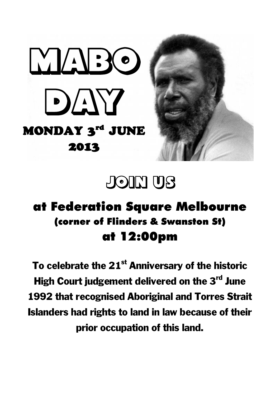



## **JOIN US**

## at Federation Square Melbourne (corner of Flinders & Swanston St) at 12:00pm

To celebrate the 21<sup>st</sup> Anniversary of the historic High Court judgement delivered on the 3rd June 1992 that recognised Aboriginal and Torres Strait Islanders had rights to land in law because of their prior occupation of this land.